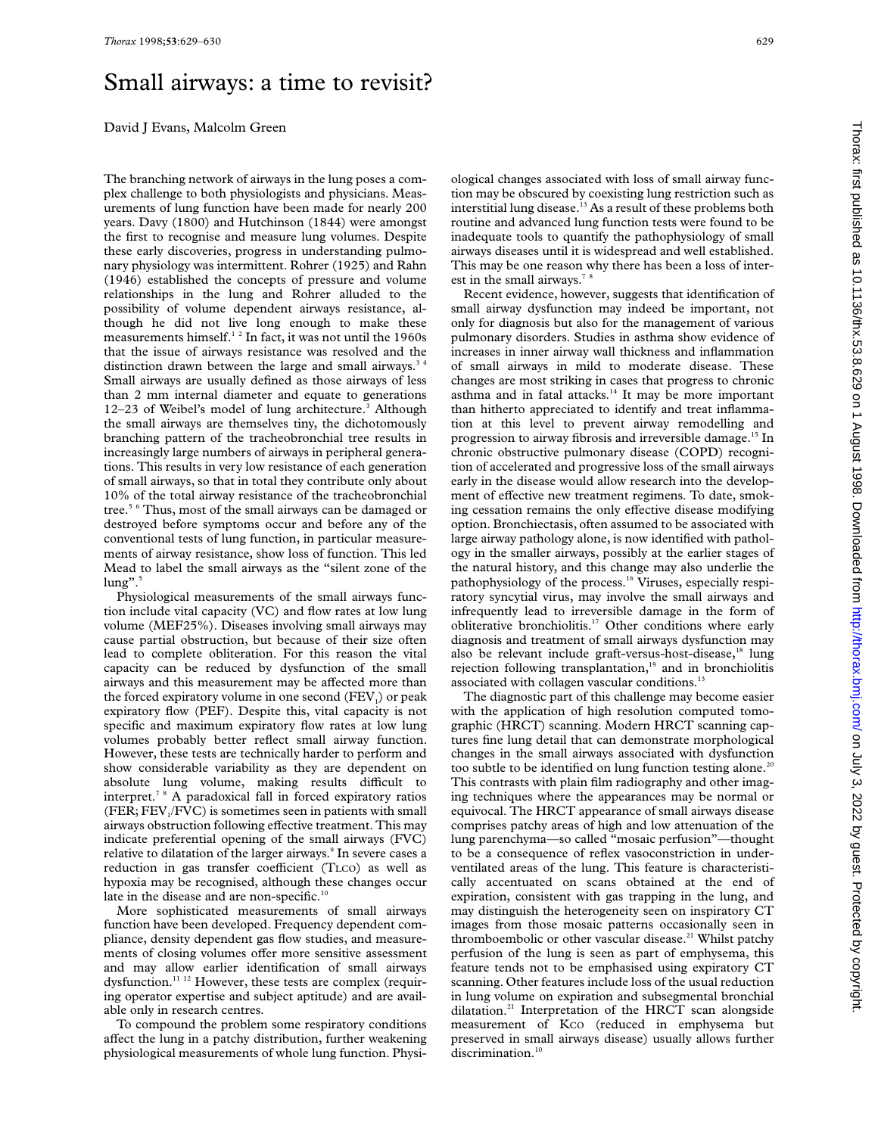## Small airways: a time to revisit?

David J Evans, Malcolm Green

The branching network of airways in the lung poses a complex challenge to both physiologists and physicians. Measurements of lung function have been made for nearly 200 years. Davy (1800) and Hutchinson (1844) were amongst the first to recognise and measure lung volumes. Despite these early discoveries, progress in understanding pulmonary physiology was intermittent. Rohrer (1925) and Rahn (1946) established the concepts of pressure and volume relationships in the lung and Rohrer alluded to the possibility of volume dependent airways resistance, although he did not live long enough to make these measurements himself.<sup>12</sup> In fact, it was not until the 1960s that the issue of airways resistance was resolved and the distinction drawn between the large and small airways.<sup>34</sup> Small airways are usually defined as those airways of less than 2 mm internal diameter and equate to generations 12–23 of Weibel's model of lung architecture.<sup>3</sup> Although the small airways are themselves tiny, the dichotomously branching pattern of the tracheobronchial tree results in increasingly large numbers of airways in peripheral generations. This results in very low resistance of each generation of small airways, so that in total they contribute only about 10% of the total airway resistance of the tracheobronchial tree.<sup>5 6</sup> Thus, most of the small airways can be damaged or destroyed before symptoms occur and before any of the conventional tests of lung function, in particular measurements of airway resistance, show loss of function. This led Mead to label the small airways as the "silent zone of the  $\text{lung}$ ".<sup>5</sup>

Physiological measurements of the small airways function include vital capacity (VC) and flow rates at low lung volume (MEF25%). Diseases involving small airways may cause partial obstruction, but because of their size often lead to complete obliteration. For this reason the vital capacity can be reduced by dysfunction of the small airways and this measurement may be affected more than the forced expiratory volume in one second  $(FEV_i)$  or peak expiratory flow (PEF). Despite this, vital capacity is not specific and maximum expiratory flow rates at low lung volumes probably better reflect small airway function. However, these tests are technically harder to perform and show considerable variability as they are dependent on absolute lung volume, making results difficult to interpret.7 8 A paradoxical fall in forced expiratory ratios (FER;  $FEV<sub>1</sub>/FVC$ ) is sometimes seen in patients with small airways obstruction following effective treatment. This may indicate preferential opening of the small airways (FVC) relative to dilatation of the larger airways.<sup>9</sup> In severe cases a reduction in gas transfer coefficient (TLCO) as well as hypoxia may be recognised, although these changes occur late in the disease and are non-specific.<sup>10</sup>

More sophisticated measurements of small airways function have been developed. Frequency dependent compliance, density dependent gas flow studies, and measurements of closing volumes offer more sensitive assessment and may allow earlier identification of small airways dysfunction.<sup>11 12</sup> However, these tests are complex (requiring operator expertise and subject aptitude) and are available only in research centres.

To compound the problem some respiratory conditions affect the lung in a patchy distribution, further weakening physiological measurements of whole lung function. Physiological changes associated with loss of small airway function may be obscured by coexisting lung restriction such as interstitial lung disease.<sup>13</sup> As a result of these problems both routine and advanced lung function tests were found to be inadequate tools to quantify the pathophysiology of small airways diseases until it is widespread and well established. This may be one reason why there has been a loss of interest in the small airways. $<sup>7</sup>$ </sup>

Recent evidence, however, suggests that identification of small airway dysfunction may indeed be important, not only for diagnosis but also for the management of various pulmonary disorders. Studies in asthma show evidence of increases in inner airway wall thickness and inflammation of small airways in mild to moderate disease. These changes are most striking in cases that progress to chronic asthma and in fatal attacks.<sup>14</sup> It may be more important than hitherto appreciated to identify and treat inflammation at this level to prevent airway remodelling and progression to airway fibrosis and irreversible damage.15 In chronic obstructive pulmonary disease (COPD) recognition of accelerated and progressive loss of the small airways early in the disease would allow research into the development of effective new treatment regimens. To date, smoking cessation remains the only effective disease modifying option. Bronchiectasis, often assumed to be associated with large airway pathology alone, is now identified with pathology in the smaller airways, possibly at the earlier stages of the natural history, and this change may also underlie the pathophysiology of the process.<sup>16</sup> Viruses, especially respiratory syncytial virus, may involve the small airways and infrequently lead to irreversible damage in the form of obliterative bronchiolitis.17 Other conditions where early diagnosis and treatment of small airways dysfunction may also be relevant include graft-versus-host-disease,<sup>18</sup> lung rejection following transplantation,<sup>19</sup> and in bronchiolitis associated with collagen vascular conditions.<sup>13</sup>

The diagnostic part of this challenge may become easier with the application of high resolution computed tomographic (HRCT) scanning. Modern HRCT scanning captures fine lung detail that can demonstrate morphological changes in the small airways associated with dysfunction too subtle to be identified on lung function testing alone.<sup>20</sup> This contrasts with plain film radiography and other imaging techniques where the appearances may be normal or equivocal. The HRCT appearance of small airways disease comprises patchy areas of high and low attenuation of the lung parenchyma—so called "mosaic perfusion"—thought to be a consequence of reflex vasoconstriction in underventilated areas of the lung. This feature is characteristically accentuated on scans obtained at the end of expiration, consistent with gas trapping in the lung, and may distinguish the heterogeneity seen on inspiratory CT images from those mosaic patterns occasionally seen in thromboembolic or other vascular disease.<sup>21</sup> Whilst patchy perfusion of the lung is seen as part of emphysema, this feature tends not to be emphasised using expiratory CT scanning. Other features include loss of the usual reduction in lung volume on expiration and subsegmental bronchial dilatation.21 Interpretation of the HRCT scan alongside measurement of Kco (reduced in emphysema but preserved in small airways disease) usually allows further discrimination. $10$